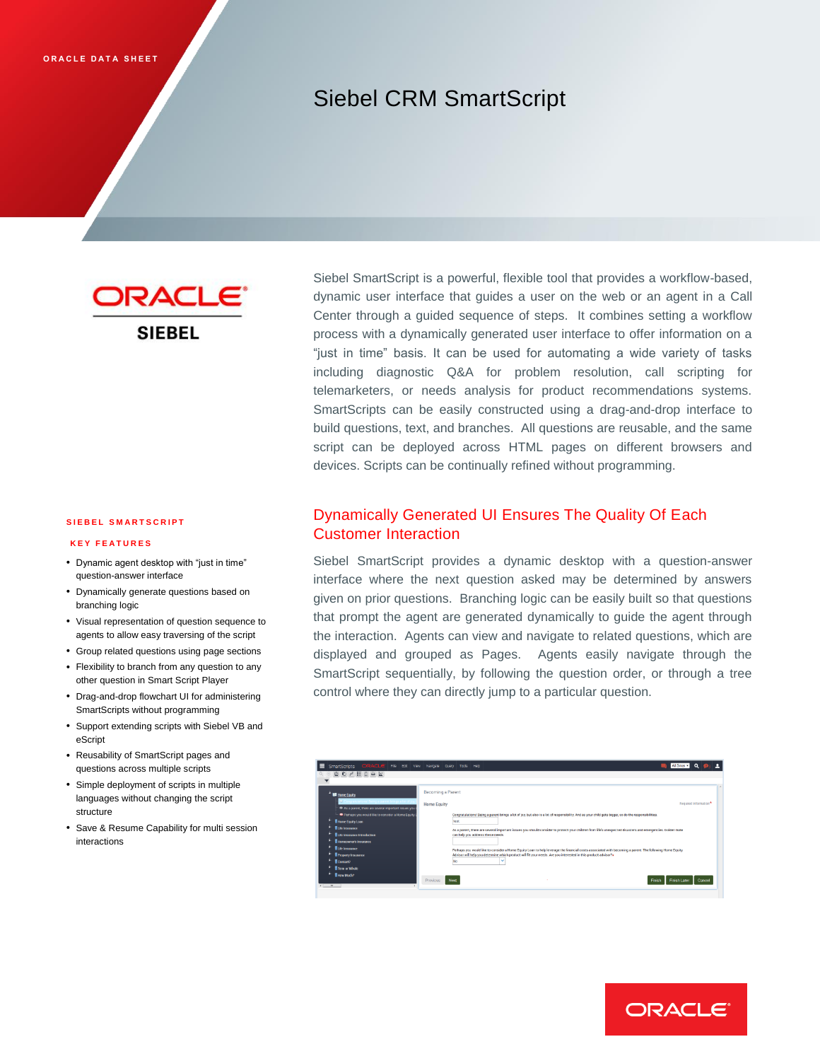# Siebel CRM SmartScript

DRACL **SIEBEL** 

#### **SIEBEL SMARTSCRIPT**

#### **K E Y F E A T U R E S**

- Dynamic agent desktop with "just in time" question-answer interface
- Dynamically generate questions based on branching logic
- Visual representation of question sequence to agents to allow easy traversing of the script
- Group related questions using page sections
- Flexibility to branch from any question to any other question in Smart Script Player
- Drag-and-drop flowchart UI for administering SmartScripts without programming
- Support extending scripts with Siebel VB and eScript
- Reusability of SmartScript pages and questions across multiple scripts
- Simple deployment of scripts in multiple languages without changing the script structure
- Save & Resume Capability for multi session interactions

Siebel SmartScript is a powerful, flexible tool that provides a workflow-based, dynamic user interface that guides a user on the web or an agent in a Call Center through a guided sequence of steps. It combines setting a workflow process with a dynamically generated user interface to offer information on a "just in time" basis. It can be used for automating a wide variety of tasks including diagnostic Q&A for problem resolution, call scripting for telemarketers, or needs analysis for product recommendations systems. SmartScripts can be easily constructed using a drag-and-drop interface to build questions, text, and branches. All questions are reusable, and the same script can be deployed across HTML pages on different browsers and devices. Scripts can be continually refined without programming.

## Dynamically Generated UI Ensures The Quality Of Each Customer Interaction

Siebel SmartScript provides a dynamic desktop with a question-answer interface where the next question asked may be determined by answers given on prior questions. Branching logic can be easily built so that questions that prompt the agent are generated dynamically to guide the agent through the interaction. Agents can view and navigate to related questions, which are displayed and grouped as Pages. Agents easily navigate through the SmartScript sequentially, by following the question order, or through a tree control where they can directly jump to a particular question.

| ORACLE File Edit View Navigate Query<br>$\equiv$<br>SmartScripts                                          | Tools Help                                                                                                                                                                                      | Al Smary Q             |
|-----------------------------------------------------------------------------------------------------------|-------------------------------------------------------------------------------------------------------------------------------------------------------------------------------------------------|------------------------|
| <b>DOPEDAM</b>                                                                                            |                                                                                                                                                                                                 |                        |
|                                                                                                           |                                                                                                                                                                                                 |                        |
| <sup>4</sup> Ill Home Equity                                                                              | Becoming a Parent                                                                                                                                                                               |                        |
| ngratulations! Being a parent brings a lot of jo<br>As a parent, there are several important issues you : | <b>Home Equity</b>                                                                                                                                                                              | Required Information*  |
| Perhaps you would like to consider a Home Equity I<br><b>Home Equity Loan</b>                             | Congratulations! Being a parent brings a lot of joy, but also is a lot of responsibility. And as your child gets bigger, so do the responsibilities.<br>test                                    |                        |
| <b>Hute Insurance</b><br><b>ELIO</b> Insurance Introduction                                               | As a parent, there are several important issues you should consider to protect your children from life's unexpected disasters and emergencies. Golden Gate<br>can help you address these needs. |                        |
| Homeowner's Insurance<br><b>El Life Insurance</b>                                                         | Perhaps you would like to consider a Home Equity Loan to help leverage the financial costs associated with becoming a parent. The following Home Equity                                         |                        |
| Property Insurance<br><b>Romaco</b>                                                                       | Advisor will help you determine which product will fit your needs. Are you interested in this product advisor?*<br>No<br>$\overline{\phantom{a}}$                                               |                        |
| Term or Whole<br>How Mach2                                                                                |                                                                                                                                                                                                 |                        |
| $\epsilon = n$                                                                                            | Next<br>Finish<br>Previous                                                                                                                                                                      | Finish Later<br>Cancel |
|                                                                                                           |                                                                                                                                                                                                 |                        |

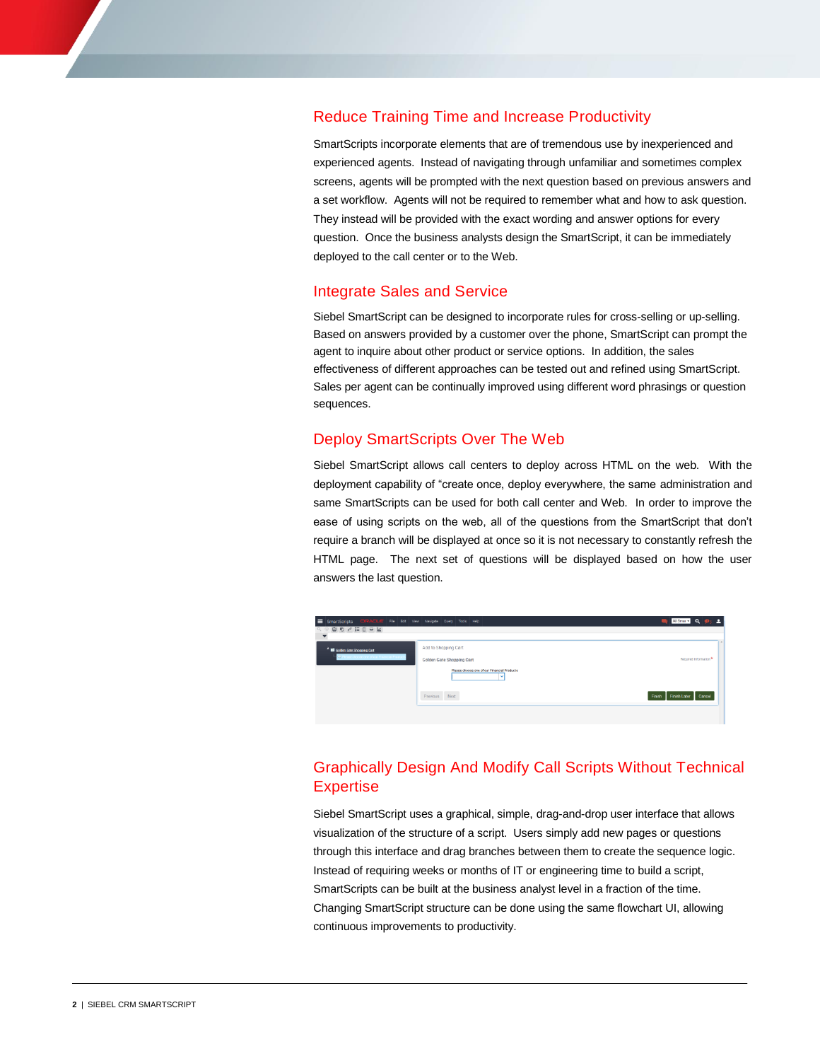### Reduce Training Time and Increase Productivity

SmartScripts incorporate elements that are of tremendous use by inexperienced and experienced agents. Instead of navigating through unfamiliar and sometimes complex screens, agents will be prompted with the next question based on previous answers and a set workflow. Agents will not be required to remember what and how to ask question. They instead will be provided with the exact wording and answer options for every question. Once the business analysts design the SmartScript, it can be immediately deployed to the call center or to the Web.

### Integrate Sales and Service

Siebel SmartScript can be designed to incorporate rules for cross-selling or up-selling. Based on answers provided by a customer over the phone, SmartScript can prompt the agent to inquire about other product or service options. In addition, the sales effectiveness of different approaches can be tested out and refined using SmartScript. Sales per agent can be continually improved using different word phrasings or question sequences.

### Deploy SmartScripts Over The Web

Siebel SmartScript allows call centers to deploy across HTML on the web. With the deployment capability of "create once, deploy everywhere, the same administration and same SmartScripts can be used for both call center and Web. In order to improve the ease of using scripts on the web, all of the questions from the SmartScript that don't require a branch will be displayed at once so it is not necessary to constantly refresh the HTML page. The next set of questions will be displayed based on how the user answers the last question.



# Graphically Design And Modify Call Scripts Without Technical Expertise

Siebel SmartScript uses a graphical, simple, drag-and-drop user interface that allows visualization of the structure of a script. Users simply add new pages or questions through this interface and drag branches between them to create the sequence logic. Instead of requiring weeks or months of IT or engineering time to build a script, SmartScripts can be built at the business analyst level in a fraction of the time. Changing SmartScript structure can be done using the same flowchart UI, allowing continuous improvements to productivity.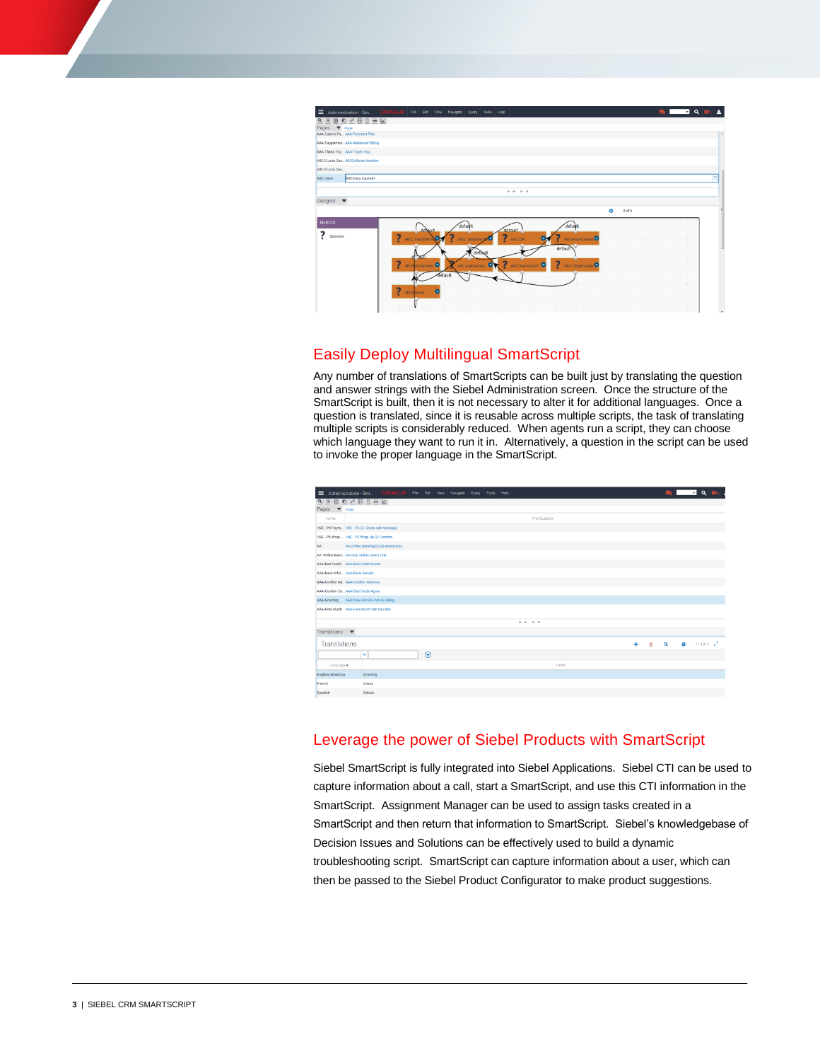

# Easily Deploy Multilingual SmartScript

Any number of translations of SmartScripts can be built just by translating the question and answer strings with the Siebel Administration screen. Once the structure of the SmartScript is built, then it is not necessary to alter it for additional languages. Once a question is translated, since it is reusable across multiple scripts, the task of translating multiple scripts is considerably reduced. When agents run a script, they can choose which language they want to run it in. Alternatively, a question in the script can be used to invoke the proper language in the SmartScript.

| ORACLE' File Edit View Navigate<br>$\equiv$<br>Administration - Sm.<br>Help<br>Query<br>Tools |   |   | ▬▫ |                      |
|-----------------------------------------------------------------------------------------------|---|---|----|----------------------|
| $Q$ $\odot$<br>Pages <b>V</b> Page                                                            |   |   |    |                      |
|                                                                                               |   |   |    |                      |
| First Question<br>Name                                                                        |   |   |    |                      |
| TNE - P4 Paym TNE - P4 Q1 Cross-sell message                                                  |   |   |    |                      |
| TNE - P5 Wrap- TNE - P5 Wrap-Up Q1 Confirm                                                    |   |   |    |                      |
| AA Online Banking(OLB) awareness<br>AA                                                        |   |   |    |                      |
| AA Online Bank AA OLB, online Demo trial                                                      |   |   |    |                      |
| AAA-Bad Credit AAA-Bad Credit Memo                                                            |   |   |    |                      |
| AAA-Bank Infor AAA-Bank Details                                                               |   |   |    |                      |
| AAA-Confirm Ad., AAA-Confirm Address                                                          |   |   |    |                      |
| AAA-Confirm De AAA-Bad Credit Agree                                                           |   |   |    |                      |
| AAA-Greeting AAA-New Service-Move-Billing                                                     |   |   |    |                      |
| AAA-How Much AAA-How much can you pay                                                         |   |   |    |                      |
| $M - 44$<br>$89 - 10$                                                                         |   |   |    |                      |
| Translations $\blacktriangledown$                                                             |   |   |    |                      |
| Translations                                                                                  | A | ۰ | 6  | $1 - 3$ of $3 - e^x$ |
| $\odot$<br>$\sim$                                                                             |   |   |    |                      |
| Label<br>Language A                                                                           |   |   |    |                      |
| English-American<br>Greeting                                                                  |   |   |    |                      |
| French<br><b>Voeux</b>                                                                        |   |   |    |                      |
| Saludo<br>Spanish                                                                             |   |   |    |                      |

# Leverage the power of Siebel Products with SmartScript

Siebel SmartScript is fully integrated into Siebel Applications. Siebel CTI can be used to capture information about a call, start a SmartScript, and use this CTI information in the SmartScript. Assignment Manager can be used to assign tasks created in a SmartScript and then return that information to SmartScript. Siebel's knowledgebase of Decision Issues and Solutions can be effectively used to build a dynamic troubleshooting script. SmartScript can capture information about a user, which can then be passed to the Siebel Product Configurator to make product suggestions.